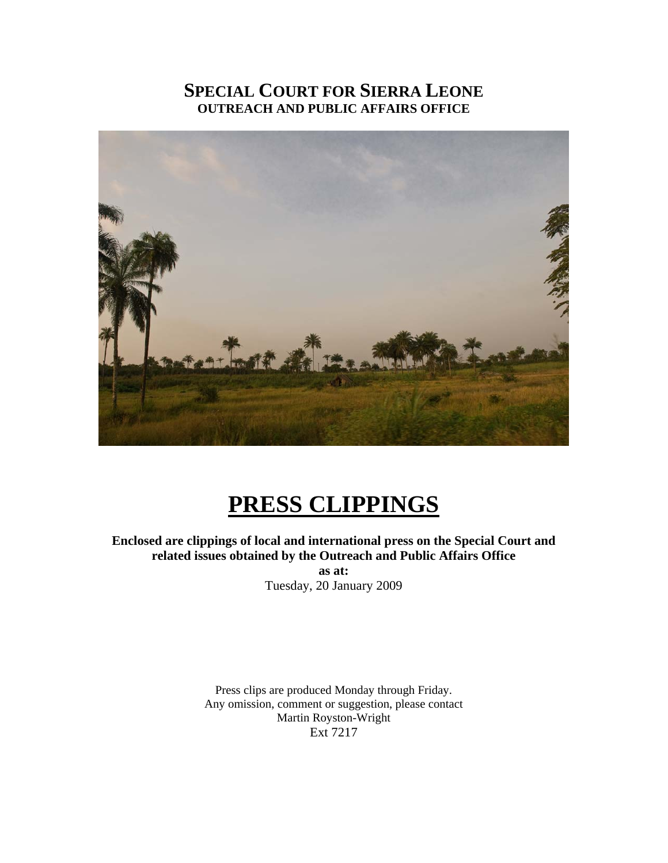## **SPECIAL COURT FOR SIERRA LEONE OUTREACH AND PUBLIC AFFAIRS OFFICE**



# **PRESS CLIPPINGS**

## **Enclosed are clippings of local and international press on the Special Court and related issues obtained by the Outreach and Public Affairs Office**

**as at:**  Tuesday, 20 January 2009

Press clips are produced Monday through Friday. Any omission, comment or suggestion, please contact Martin Royston-Wright Ext 7217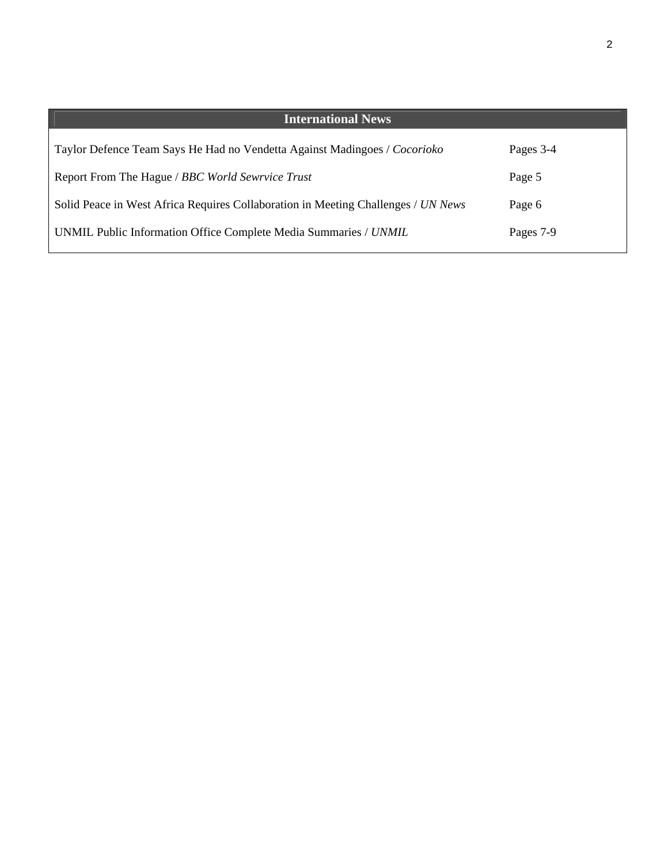| <b>International News</b>                                                         |           |
|-----------------------------------------------------------------------------------|-----------|
| Taylor Defence Team Says He Had no Vendetta Against Madingoes / Cocorioko         | Pages 3-4 |
| Report From The Hague / BBC World Sewrvice Trust                                  | Page 5    |
| Solid Peace in West Africa Requires Collaboration in Meeting Challenges / UN News | Page 6    |
| UNMIL Public Information Office Complete Media Summaries / UNMIL                  | Pages 7-9 |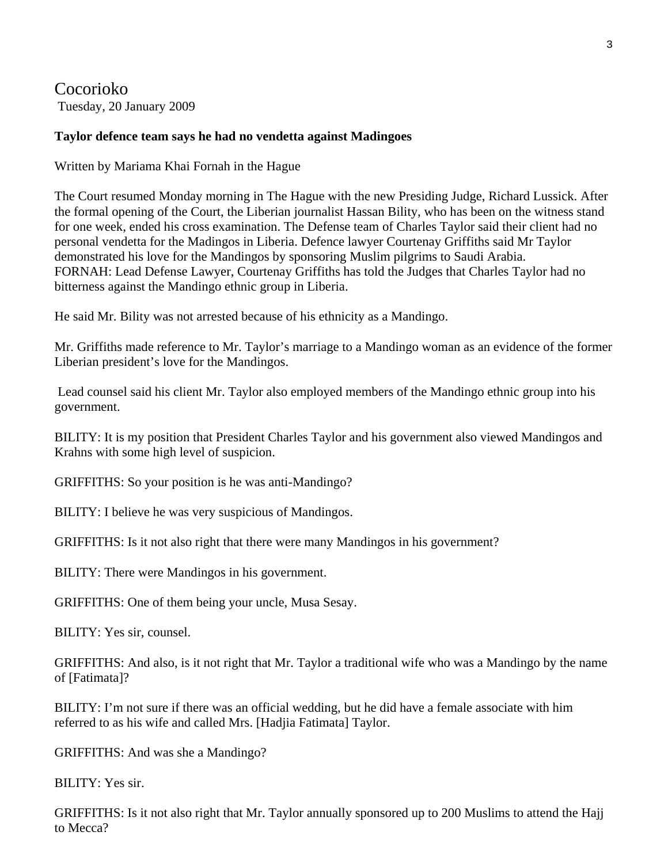Cocorioko Tuesday, 20 January 2009

#### **Taylor defence team says he had no vendetta against Madingoes**

Written by Mariama Khai Fornah in the Hague

The Court resumed Monday morning in The Hague with the new Presiding Judge, Richard Lussick. After the formal opening of the Court, the Liberian journalist Hassan Bility, who has been on the witness stand for one week, ended his cross examination. The Defense team of Charles Taylor said their client had no personal vendetta for the Madingos in Liberia. Defence lawyer Courtenay Griffiths said Mr Taylor demonstrated his love for the Mandingos by sponsoring Muslim pilgrims to Saudi Arabia. FORNAH: Lead Defense Lawyer, Courtenay Griffiths has told the Judges that Charles Taylor had no bitterness against the Mandingo ethnic group in Liberia.

He said Mr. Bility was not arrested because of his ethnicity as a Mandingo.

Mr. Griffiths made reference to Mr. Taylor's marriage to a Mandingo woman as an evidence of the former Liberian president's love for the Mandingos.

 Lead counsel said his client Mr. Taylor also employed members of the Mandingo ethnic group into his government.

BILITY: It is my position that President Charles Taylor and his government also viewed Mandingos and Krahns with some high level of suspicion.

GRIFFITHS: So your position is he was anti-Mandingo?

BILITY: I believe he was very suspicious of Mandingos.

GRIFFITHS: Is it not also right that there were many Mandingos in his government?

BILITY: There were Mandingos in his government.

GRIFFITHS: One of them being your uncle, Musa Sesay.

BILITY: Yes sir, counsel.

GRIFFITHS: And also, is it not right that Mr. Taylor a traditional wife who was a Mandingo by the name of [Fatimata]?

BILITY: I'm not sure if there was an official wedding, but he did have a female associate with him referred to as his wife and called Mrs. [Hadjia Fatimata] Taylor.

GRIFFITHS: And was she a Mandingo?

BILITY: Yes sir.

GRIFFITHS: Is it not also right that Mr. Taylor annually sponsored up to 200 Muslims to attend the Hajj to Mecca?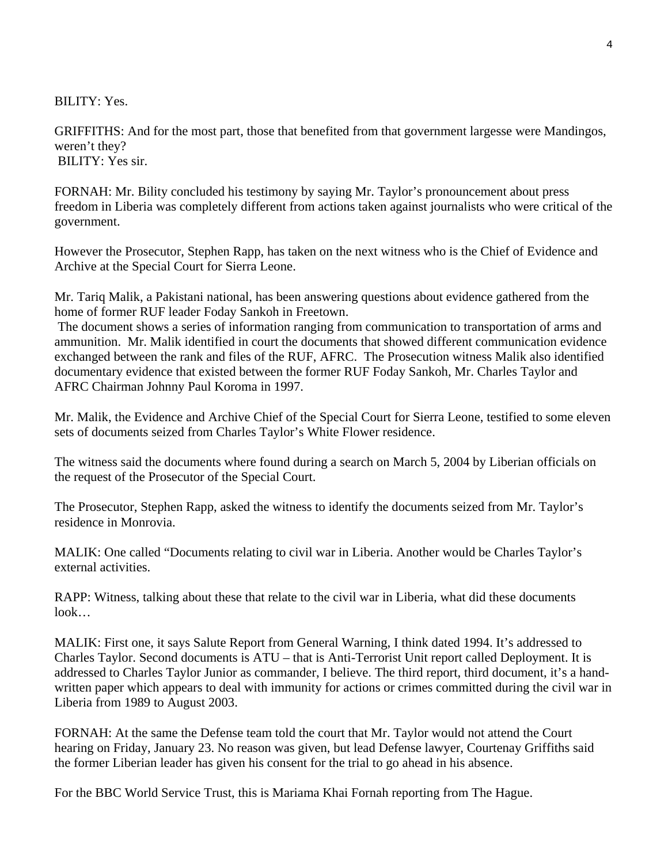BILITY: Yes.

GRIFFITHS: And for the most part, those that benefited from that government largesse were Mandingos, weren't they? BILITY: Yes sir.

FORNAH: Mr. Bility concluded his testimony by saying Mr. Taylor's pronouncement about press freedom in Liberia was completely different from actions taken against journalists who were critical of the government.

However the Prosecutor, Stephen Rapp, has taken on the next witness who is the Chief of Evidence and Archive at the Special Court for Sierra Leone.

Mr. Tariq Malik, a Pakistani national, has been answering questions about evidence gathered from the home of former RUF leader Foday Sankoh in Freetown.

 The document shows a series of information ranging from communication to transportation of arms and ammunition. Mr. Malik identified in court the documents that showed different communication evidence exchanged between the rank and files of the RUF, AFRC. The Prosecution witness Malik also identified documentary evidence that existed between the former RUF Foday Sankoh, Mr. Charles Taylor and AFRC Chairman Johnny Paul Koroma in 1997.

Mr. Malik, the Evidence and Archive Chief of the Special Court for Sierra Leone, testified to some eleven sets of documents seized from Charles Taylor's White Flower residence.

The witness said the documents where found during a search on March 5, 2004 by Liberian officials on the request of the Prosecutor of the Special Court.

The Prosecutor, Stephen Rapp, asked the witness to identify the documents seized from Mr. Taylor's residence in Monrovia.

MALIK: One called "Documents relating to civil war in Liberia. Another would be Charles Taylor's external activities.

RAPP: Witness, talking about these that relate to the civil war in Liberia, what did these documents look…

MALIK: First one, it says Salute Report from General Warning, I think dated 1994. It's addressed to Charles Taylor. Second documents is ATU – that is Anti-Terrorist Unit report called Deployment. It is addressed to Charles Taylor Junior as commander, I believe. The third report, third document, it's a handwritten paper which appears to deal with immunity for actions or crimes committed during the civil war in Liberia from 1989 to August 2003.

FORNAH: At the same the Defense team told the court that Mr. Taylor would not attend the Court hearing on Friday, January 23. No reason was given, but lead Defense lawyer, Courtenay Griffiths said the former Liberian leader has given his consent for the trial to go ahead in his absence.

For the BBC World Service Trust, this is Mariama Khai Fornah reporting from The Hague.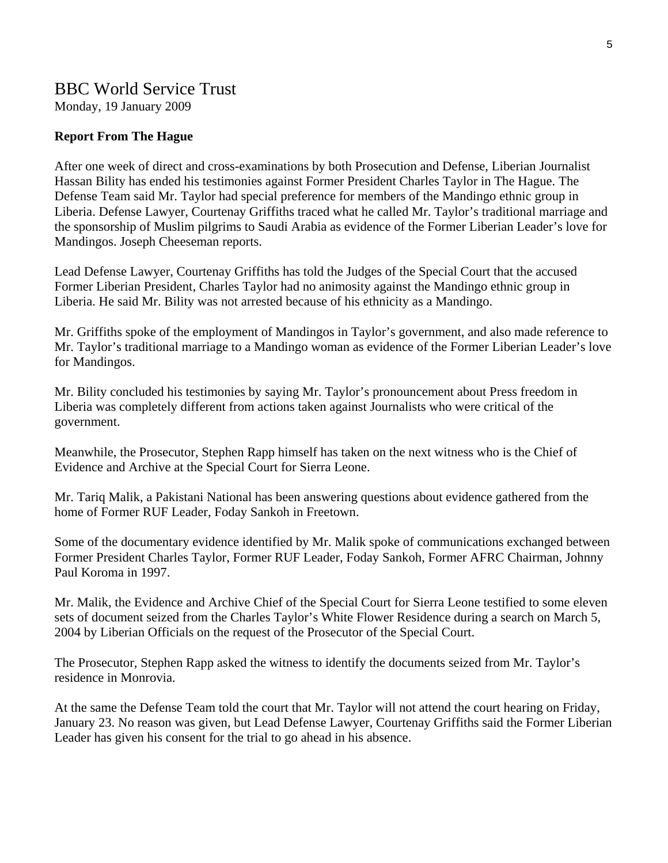## BBC World Service Trust

Monday, 19 January 2009

#### **Report From The Hague**

After one week of direct and cross-examinations by both Prosecution and Defense, Liberian Journalist Hassan Bility has ended his testimonies against Former President Charles Taylor in The Hague. The Defense Team said Mr. Taylor had special preference for members of the Mandingo ethnic group in Liberia. Defense Lawyer, Courtenay Griffiths traced what he called Mr. Taylor's traditional marriage and the sponsorship of Muslim pilgrims to Saudi Arabia as evidence of the Former Liberian Leader's love for Mandingos. Joseph Cheeseman reports.

Lead Defense Lawyer, Courtenay Griffiths has told the Judges of the Special Court that the accused Former Liberian President, Charles Taylor had no animosity against the Mandingo ethnic group in Liberia. He said Mr. Bility was not arrested because of his ethnicity as a Mandingo.

Mr. Griffiths spoke of the employment of Mandingos in Taylor's government, and also made reference to Mr. Taylor's traditional marriage to a Mandingo woman as evidence of the Former Liberian Leader's love for Mandingos.

Mr. Bility concluded his testimonies by saying Mr. Taylor's pronouncement about Press freedom in Liberia was completely different from actions taken against Journalists who were critical of the government.

Meanwhile, the Prosecutor, Stephen Rapp himself has taken on the next witness who is the Chief of Evidence and Archive at the Special Court for Sierra Leone.

Mr. Tariq Malik, a Pakistani National has been answering questions about evidence gathered from the home of Former RUF Leader, Foday Sankoh in Freetown.

Some of the documentary evidence identified by Mr. Malik spoke of communications exchanged between Former President Charles Taylor, Former RUF Leader, Foday Sankoh, Former AFRC Chairman, Johnny Paul Koroma in 1997.

Mr. Malik, the Evidence and Archive Chief of the Special Court for Sierra Leone testified to some eleven sets of document seized from the Charles Taylor's White Flower Residence during a search on March 5, 2004 by Liberian Officials on the request of the Prosecutor of the Special Court.

The Prosecutor, Stephen Rapp asked the witness to identify the documents seized from Mr. Taylor's residence in Monrovia.

At the same the Defense Team told the court that Mr. Taylor will not attend the court hearing on Friday, January 23. No reason was given, but Lead Defense Lawyer, Courtenay Griffiths said the Former Liberian Leader has given his consent for the trial to go ahead in his absence.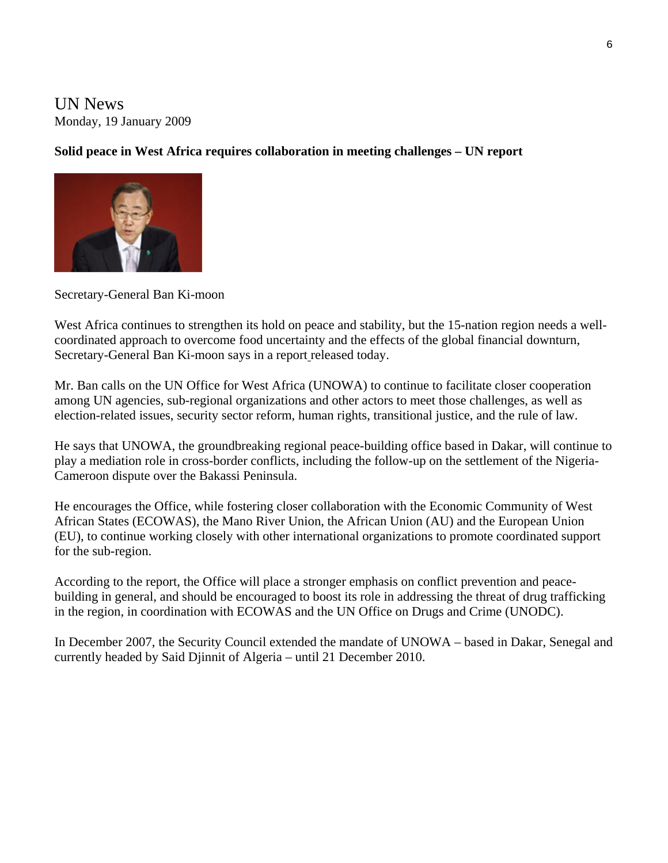UN News Monday, 19 January 2009

#### **Solid peace in West Africa requires collaboration in meeting challenges – UN report**



Secretary-General Ban Ki-moon

West Africa continues to strengthen its hold on peace and stability, but the 15-nation region needs a wellcoordinated approach to overcome food uncertainty and the effects of the global financial downturn, Secretary-General Ban Ki-moon says in a [report](http://www.un.org/Docs/journal/asp/ws.asp?m=s/2009/39) released today.

Mr. Ban calls on the UN Office for West Africa ([UNOWA\)](http://www.un.org/unowa/) to continue to facilitate closer cooperation among UN agencies, sub-regional organizations and other actors to meet those challenges, as well as election-related issues, security sector reform, human rights, transitional justice, and the rule of law.

He says that UNOWA, the groundbreaking regional peace-building office based in Dakar, will continue to play a mediation role in cross-border conflicts, including the follow-up on the settlement of the Nigeria-Cameroon dispute over the Bakassi Peninsula.

He encourages the Office, while fostering closer collaboration with the Economic Community of West African States (ECOWAS), the Mano River Union, the African Union (AU) and the European Union (EU), to continue working closely with other international organizations to promote coordinated support for the sub-region.

According to the report, the Office will place a stronger emphasis on conflict prevention and peacebuilding in general, and should be encouraged to boost its role in addressing the threat of drug trafficking in the region, in coordination with ECOWAS and the UN Office on Drugs and Crime [\(UNODC\)](http://www.unodc.org/).

In December 2007, the Security Council extended the mandate of UNOWA – based in Dakar, Senegal and currently headed by Said Djinnit of Algeria – until 21 December 2010.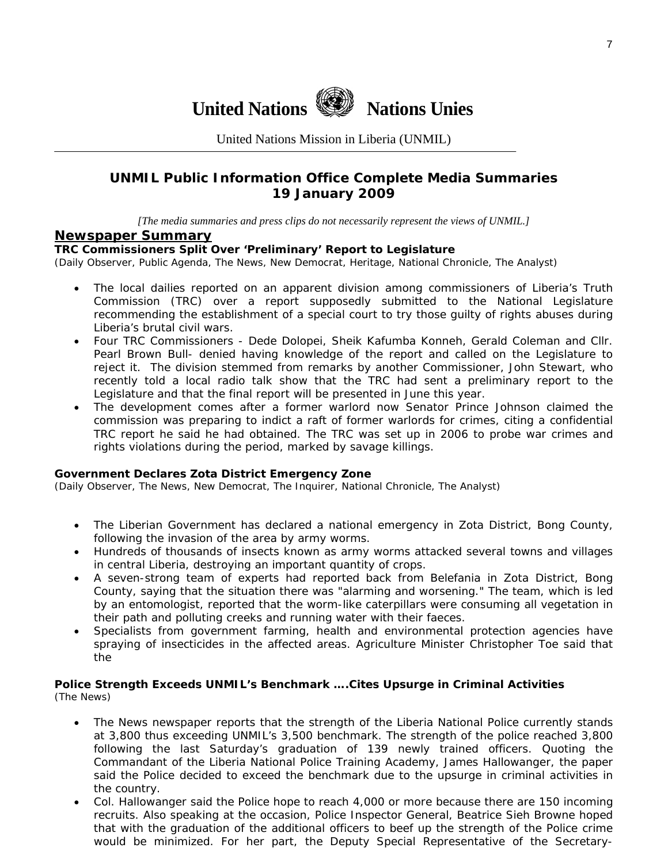

United Nations Mission in Liberia (UNMIL)

### **UNMIL Public Information Office Complete Media Summaries 19 January 2009**

*[The media summaries and press clips do not necessarily represent the views of UNMIL.]* 

#### **Newspaper Summary**

#### **TRC Commissioners Split Over 'Preliminary' Report to Legislature**

(Daily Observer, Public Agenda, The News, New Democrat, Heritage, National Chronicle, The Analyst)

- The local dailies reported on an apparent division among commissioners of Liberia's Truth Commission (TRC) over a report supposedly submitted to the National Legislature recommending the establishment of a special court to try those guilty of rights abuses during Liberia's brutal civil wars.
- Four TRC Commissioners Dede Dolopei, Sheik Kafumba Konneh, Gerald Coleman and Cllr. Pearl Brown Bull- denied having knowledge of the report and called on the Legislature to reject it. The division stemmed from remarks by another Commissioner, John Stewart, who recently told a local radio talk show that the TRC had sent a preliminary report to the Legislature and that the final report will be presented in June this year.
- The development comes after a former warlord now Senator Prince Johnson claimed the commission was preparing to indict a raft of former warlords for crimes, citing a confidential TRC report he said he had obtained. The TRC was set up in 2006 to probe war crimes and rights violations during the period, marked by savage killings.

#### **Government Declares Zota District Emergency Zone**

(Daily Observer, The News, New Democrat, The Inquirer, National Chronicle, The Analyst)

- The Liberian Government has declared a national emergency in Zota District, Bong County, following the invasion of the area by army worms.
- Hundreds of thousands of insects known as army worms attacked several towns and villages in central Liberia, destroying an important quantity of crops.
- A seven-strong team of experts had reported back from Belefania in Zota District, Bong County, saying that the situation there was "alarming and worsening." The team, which is led by an entomologist, reported that the worm-like caterpillars were consuming all vegetation in their path and polluting creeks and running water with their faeces.
- Specialists from government farming, health and environmental protection agencies have spraying of insecticides in the affected areas. Agriculture Minister Christopher Toe said that the

#### **Police Strength Exceeds UNMIL's Benchmark ….Cites Upsurge in Criminal Activities**  (The News)

- The News newspaper reports that the strength of the Liberia National Police currently stands at 3,800 thus exceeding UNMIL's 3,500 benchmark. The strength of the police reached 3,800 following the last Saturday's graduation of 139 newly trained officers. Quoting the Commandant of the Liberia National Police Training Academy, James Hallowanger, the paper said the Police decided to exceed the benchmark due to the upsurge in criminal activities in the country.
- Col. Hallowanger said the Police hope to reach 4,000 or more because there are 150 incoming recruits. Also speaking at the occasion, Police Inspector General, Beatrice Sieh Browne hoped that with the graduation of the additional officers to beef up the strength of the Police crime would be minimized. For her part, the Deputy Special Representative of the Secretary-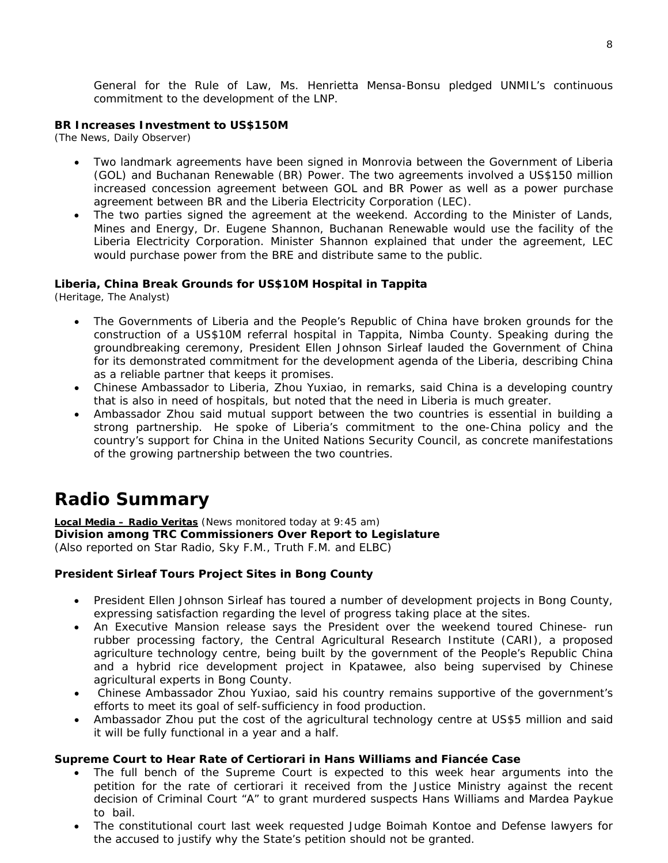General for the Rule of Law, Ms. Henrietta Mensa-Bonsu pledged UNMIL's continuous commitment to the development of the LNP.

#### **BR Increases Investment to US\$150M**

(The News, Daily Observer)

- Two landmark agreements have been signed in Monrovia between the Government of Liberia (GOL) and Buchanan Renewable (BR) Power. The two agreements involved a US\$150 million increased concession agreement between GOL and BR Power as well as a power purchase agreement between BR and the Liberia Electricity Corporation (LEC).
- The two parties signed the agreement at the weekend. According to the Minister of Lands, Mines and Energy, Dr. Eugene Shannon, Buchanan Renewable would use the facility of the Liberia Electricity Corporation. Minister Shannon explained that under the agreement, LEC would purchase power from the BRE and distribute same to the public.

#### **Liberia, China Break Grounds for US\$10M Hospital in Tappita**

(Heritage, The Analyst)

- The Governments of Liberia and the People's Republic of China have broken grounds for the construction of a US\$10M referral hospital in Tappita, Nimba County. Speaking during the groundbreaking ceremony, President Ellen Johnson Sirleaf lauded the Government of China for its demonstrated commitment for the development agenda of the Liberia, describing China as a reliable partner that keeps it promises.
- Chinese Ambassador to Liberia, Zhou Yuxiao, in remarks, said China is a developing country that is also in need of hospitals, but noted that the need in Liberia is much greater.
- Ambassador Zhou said mutual support between the two countries is essential in building a strong partnership. He spoke of Liberia's commitment to the one-China policy and the country's support for China in the United Nations Security Council, as concrete manifestations of the growing partnership between the two countries.

# **Radio Summary**

**Local Media – Radio Veritas** *(News monitored today at 9:45 am)* **Division among TRC Commissioners Over Report to Legislature**  (*Also reported on Star Radio, Sky F.M., Truth F.M. and ELBC*)

#### **President Sirleaf Tours Project Sites in Bong County**

- President Ellen Johnson Sirleaf has toured a number of development projects in Bong County, expressing satisfaction regarding the level of progress taking place at the sites.
- An Executive Mansion release says the President over the weekend toured Chinese- run rubber processing factory, the Central Agricultural Research Institute (CARI), a proposed agriculture technology centre, being built by the government of the People's Republic China and a hybrid rice development project in Kpatawee, also being supervised by Chinese agricultural experts in Bong County.
- Chinese Ambassador Zhou Yuxiao, said his country remains supportive of the government's efforts to meet its goal of self-sufficiency in food production.
- Ambassador Zhou put the cost of the agricultural technology centre at US\$5 million and said it will be fully functional in a year and a half.

#### **Supreme Court to Hear Rate of Certiorari in Hans Williams and Fiancée Case**

- The full bench of the Supreme Court is expected to this week hear arguments into the petition for the rate of certiorari it received from the Justice Ministry against the recent decision of Criminal Court "A" to grant murdered suspects Hans Williams and Mardea Paykue to bail.
- The constitutional court last week requested Judge Boimah Kontoe and Defense lawyers for the accused to justify why the State's petition should not be granted.